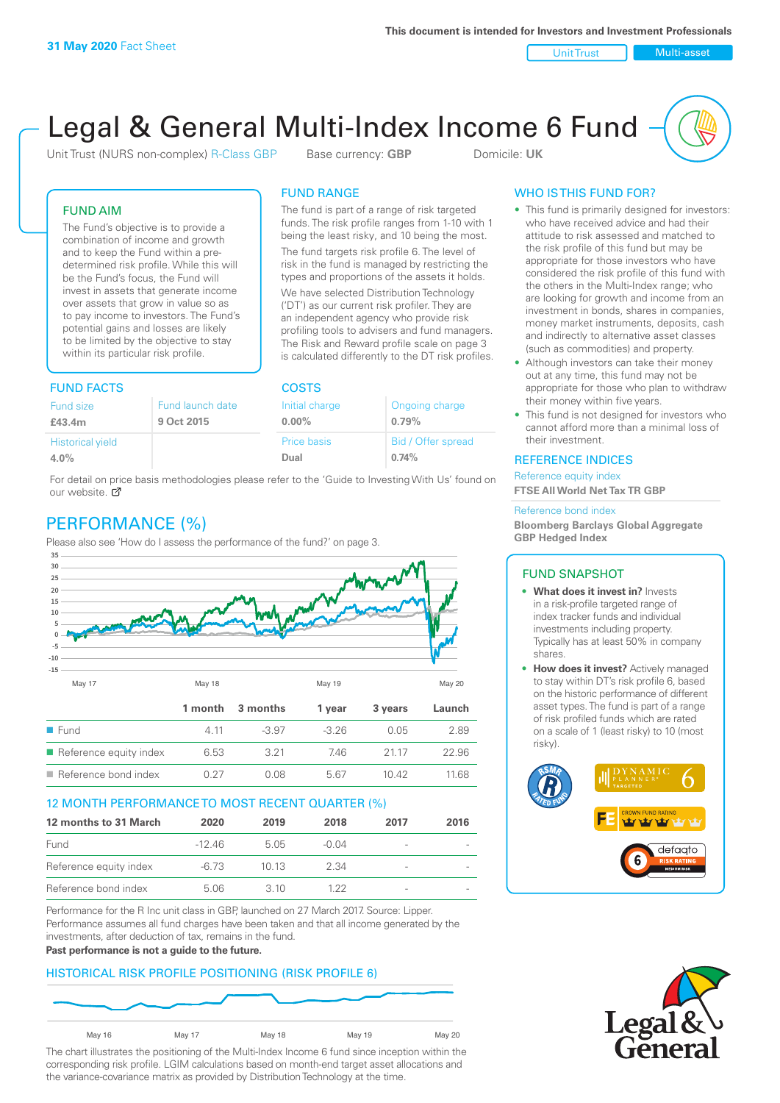Unit Trust Nulti-asset

# Legal & General Multi-Index Income 6 Fund

Unit Trust (NURS non-complex) R-Class GBP Base currency: **GBP** Domicile: UK

The fund is part of a range of risk targeted funds. The risk profile ranges from 1-10 with 1 being the least risky, and 10 being the most. The fund targets risk profile 6. The level of risk in the fund is managed by restricting the types and proportions of the assets it holds. We have selected Distribution Technology ('DT') as our current risk profiler. They are an independent agency who provide risk profiling tools to advisers and fund managers. The Risk and Reward profile scale on page 3 is calculated differently to the DT risk profiles.

FUND RANGE

ffer spread

FUND AIM

The Fund's objective is to provide a combination of income and growth and to keep the Fund within a predetermined risk profile. While this will be the Fund's focus, the Fund will invest in assets that generate income over assets that grow in value so as to pay income to investors. The Fund's potential gains and losses are likely to be limited by the objective to stay within its particular risk profile.

### FUND FACTS COSTS

| Fund size               | Fund launch date | Initial charge | Ongoing charge    |  |
|-------------------------|------------------|----------------|-------------------|--|
| £43.4m                  | 9 Oct 2015       | $0.00\%$       | 0.79%             |  |
| <b>Historical yield</b> |                  | Price basis    | Bid / Offer sprea |  |
| 4.0%                    |                  | Dual           | 0.74%             |  |
|                         |                  |                |                   |  |

For detail on price basis methodologies please refer to the 'Guide to Investing With Us' found on our website.  $\sigma$ 

# PERFORMANCE (%)

Please also see 'How do I assess the performance of the fund?' on page 3.



### 12 MONTH PERFORMANCE TO MOST RECENT QUARTER (%)

| 12 months to 31 March  | 2020    | 2019  | 2018  | 2017                     | 2016 |
|------------------------|---------|-------|-------|--------------------------|------|
| Fund                   | $-1246$ | 5.05  | -0.04 |                          |      |
| Reference equity index | $-6.73$ | 10 13 | 2.34  | -                        |      |
| Reference bond index   | 5.06    | 3. IO | 1 22  | $\overline{\phantom{a}}$ |      |

Performance for the R Inc unit class in GBP, launched on 27 March 2017. Source: Lipper. Performance assumes all fund charges have been taken and that all income generated by the investments, after deduction of tax, remains in the fund.

#### **Past performance is not a guide to the future.**

### HISTORICAL RISK PROFILE POSITIONING (RISK PROFILE 6)



The chart illustrates the positioning of the Multi-Index Income 6 fund since inception within the corresponding risk profile. LGIM calculations based on month-end target asset allocations and the variance-covariance matrix as provided by Distribution Technology at the time.

### WHO IS THIS FUND FOR?

- This fund is primarily designed for investors: who have received advice and had their attitude to risk assessed and matched to the risk profile of this fund but may be appropriate for those investors who have considered the risk profile of this fund with the others in the Multi-Index range; who are looking for growth and income from an investment in bonds, shares in companies, money market instruments, deposits, cash and indirectly to alternative asset classes (such as commodities) and property.
- Although investors can take their money out at any time, this fund may not be appropriate for those who plan to withdraw their money within five years.
- This fund is not designed for investors who cannot afford more than a minimal loss of their investment.

### REFERENCE INDICES

Reference equity index **FTSE All World Net Tax TR GBP**

#### Reference bond index

**Bloomberg Barclays Global Aggregate GBP Hedged Index**

### FUND SNAPSHOT

- **• What does it invest in?** Invests in a risk-profile targeted range of index tracker funds and individual investments including property. Typically has at least 50% in company shares
- **• How does it invest?** Actively managed to stay within DT's risk profile 6, based on the historic performance of different asset types. The fund is part of a range of risk profiled funds which are rated on a scale of 1 (least risky) to 10 (most risky).



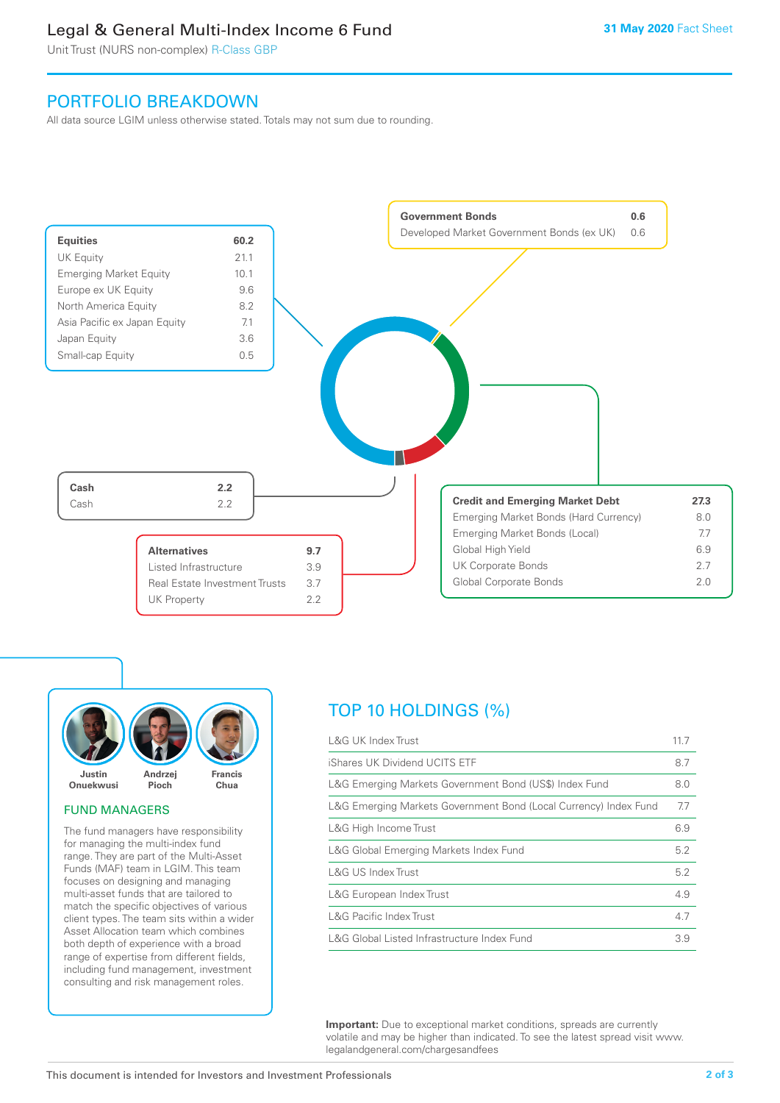# Legal & General Multi-Index Income 6 Fund

Unit Trust (NURS non-complex) R-Class GBP

## PORTFOLIO BREAKDOWN

All data source LGIM unless otherwise stated. Totals may not sum due to rounding.





### FUND MANAGERS

The fund managers have responsibility for managing the multi-index fund range. They are part of the Multi-Asset Funds (MAF) team in LGIM. This team focuses on designing and managing multi-asset funds that are tailored to match the specific objectives of various client types. The team sits within a wider Asset Allocation team which combines both depth of experience with a broad range of expertise from different fields, including fund management, investment consulting and risk management roles.

# TOP 10 HOLDINGS (%)

| <b>L&amp;G UK Index Trust</b>                                    | 11.7 |
|------------------------------------------------------------------|------|
| iShares UK Dividend UCITS ETF                                    | 8.7  |
| L&G Emerging Markets Government Bond (US\$) Index Fund           | 8.0  |
| L&G Emerging Markets Government Bond (Local Currency) Index Fund | 7.7  |
| L&G High Income Trust                                            | 6.9  |
| L&G Global Emerging Markets Index Fund                           | 5.2  |
| L&G US Index Trust                                               | 5.2  |
| L&G European Index Trust                                         | 4.9  |
| <b>L&amp;G Pacific Index Trust</b>                               | 4.7  |
| L&G Global Listed Infrastructure Index Fund                      | 3.9  |

**Important:** Due to exceptional market conditions, spreads are currently volatile and may be higher than indicated. To see the latest spread visit www. legalandgeneral.com/chargesandfees